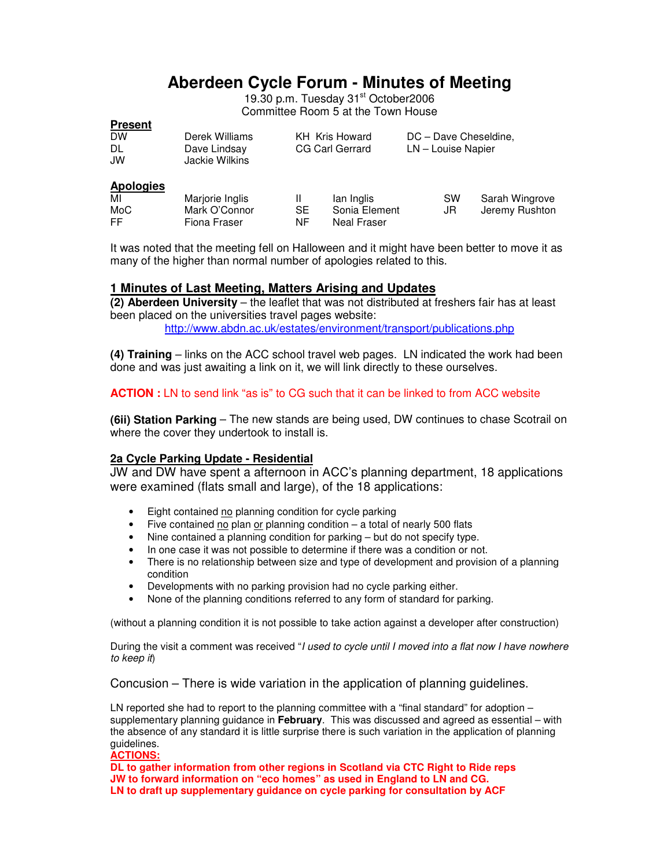# **Aberdeen Cycle Forum - Minutes of Meeting**

19.30 p.m. Tuesday 31<sup>st</sup> October2006 Committee Room 5 at the Town House

# **Present**

| <b>DW</b> | Derek Williams | KH Kris Howard  | DC - Dave Cheseldine, |
|-----------|----------------|-----------------|-----------------------|
| -DL       | Dave Lindsay   | CG Carl Gerrard | LN – Louise Napier    |
| JW        | Jackie Wilkins |                 |                       |
|           |                |                 |                       |

# **Apologies**

| <u><b>Apologioo</b></u> |                               |           |                              |           |                |
|-------------------------|-------------------------------|-----------|------------------------------|-----------|----------------|
| MI                      | Marjorie Inglis               |           | lan Inglis                   | <b>SW</b> | Sarah Wingrove |
| MoC<br>FF.              | Mark O'Connor<br>Fiona Fraser | SE.<br>NF | Sonia Element<br>Neal Fraser | JR        | Jeremy Rushton |

It was noted that the meeting fell on Halloween and it might have been better to move it as many of the higher than normal number of apologies related to this.

# **1 Minutes of Last Meeting, Matters Arising and Updates**

**(2) Aberdeen University** – the leaflet that was not distributed at freshers fair has at least been placed on the universities travel pages website: http://www.abdn.ac.uk/estates/environment/transport/publications.php

**(4) Training** – links on the ACC school travel web pages. LN indicated the work had been done and was just awaiting a link on it, we will link directly to these ourselves.

# **ACTION :** LN to send link "as is" to CG such that it can be linked to from ACC website

**(6ii) Station Parking** – The new stands are being used, DW continues to chase Scotrail on where the cover they undertook to install is.

# **2a Cycle Parking Update - Residential**

JW and DW have spent a afternoon in ACC's planning department, 18 applications were examined (flats small and large), of the 18 applications:

- Eight contained no planning condition for cycle parking
- Five contained no plan or planning condition  $-$  a total of nearly 500 flats
- Nine contained a planning condition for parking but do not specify type.
- In one case it was not possible to determine if there was a condition or not.
- There is no relationship between size and type of development and provision of a planning condition
- Developments with no parking provision had no cycle parking either.
- None of the planning conditions referred to any form of standard for parking.

(without a planning condition it is not possible to take action against a developer after construction)

During the visit a comment was received "I used to cycle until I moved into a flat now I have nowhere to keep it)

Concusion – There is wide variation in the application of planning guidelines.

LN reported she had to report to the planning committee with a "final standard" for adoption – supplementary planning guidance in **February**. This was discussed and agreed as essential – with the absence of any standard it is little surprise there is such variation in the application of planning guidelines.

#### **ACTIONS:**

**DL to gather information from other regions in Scotland via CTC Right to Ride reps JW to forward information on "eco homes" as used in England to LN and CG. LN to draft up supplementary guidance on cycle parking for consultation by ACF**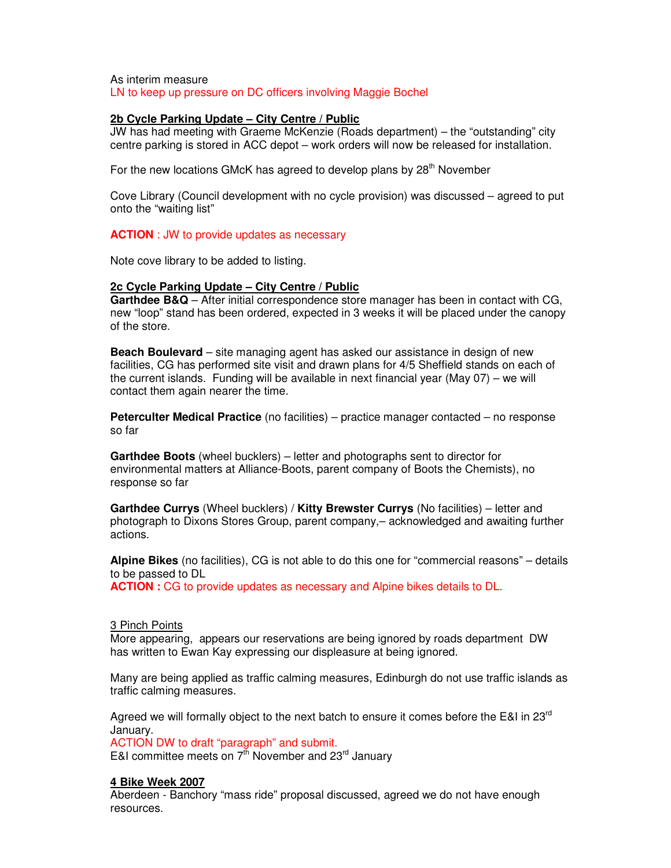As interim measure LN to keep up pressure on DC officers involving Maggie Bochel

## **2b Cycle Parking Update – City Centre / Public**

JW has had meeting with Graeme McKenzie (Roads department) – the "outstanding" city centre parking is stored in ACC depot – work orders will now be released for installation.

For the new locations GMcK has agreed to develop plans by  $28<sup>th</sup>$  November

Cove Library (Council development with no cycle provision) was discussed – agreed to put onto the "waiting list"

### **ACTION** : JW to provide updates as necessary

Note cove library to be added to listing.

### **2c Cycle Parking Update – City Centre / Public**

**Garthdee B&Q** – After initial correspondence store manager has been in contact with CG, new "loop" stand has been ordered, expected in 3 weeks it will be placed under the canopy of the store.

**Beach Boulevard** – site managing agent has asked our assistance in design of new facilities, CG has performed site visit and drawn plans for 4/5 Sheffield stands on each of the current islands. Funding will be available in next financial year (May 07) – we will contact them again nearer the time.

**Peterculter Medical Practice** (no facilities) – practice manager contacted – no response so far

**Garthdee Boots** (wheel bucklers) – letter and photographs sent to director for environmental matters at Alliance-Boots, parent company of Boots the Chemists), no response so far

**Garthdee Currys** (Wheel bucklers) / **Kitty Brewster Currys** (No facilities) – letter and photograph to Dixons Stores Group, parent company,– acknowledged and awaiting further actions.

**Alpine Bikes** (no facilities), CG is not able to do this one for "commercial reasons" – details to be passed to DL

**ACTION :** CG to provide updates as necessary and Alpine bikes details to DL.

#### 3 Pinch Points

More appearing, appears our reservations are being ignored by roads department DW has written to Ewan Kay expressing our displeasure at being ignored.

Many are being applied as traffic calming measures, Edinburgh do not use traffic islands as traffic calming measures.

Agreed we will formally object to the next batch to ensure it comes before the E&I in 23<sup>rd</sup> January.

ACTION DW to draft "paragraph" and submit. E&I committee meets on  $7^{\text{th}}$  November and 23<sup>rd</sup> January

# **4 Bike Week 2007**

Aberdeen - Banchory "mass ride" proposal discussed, agreed we do not have enough resources.